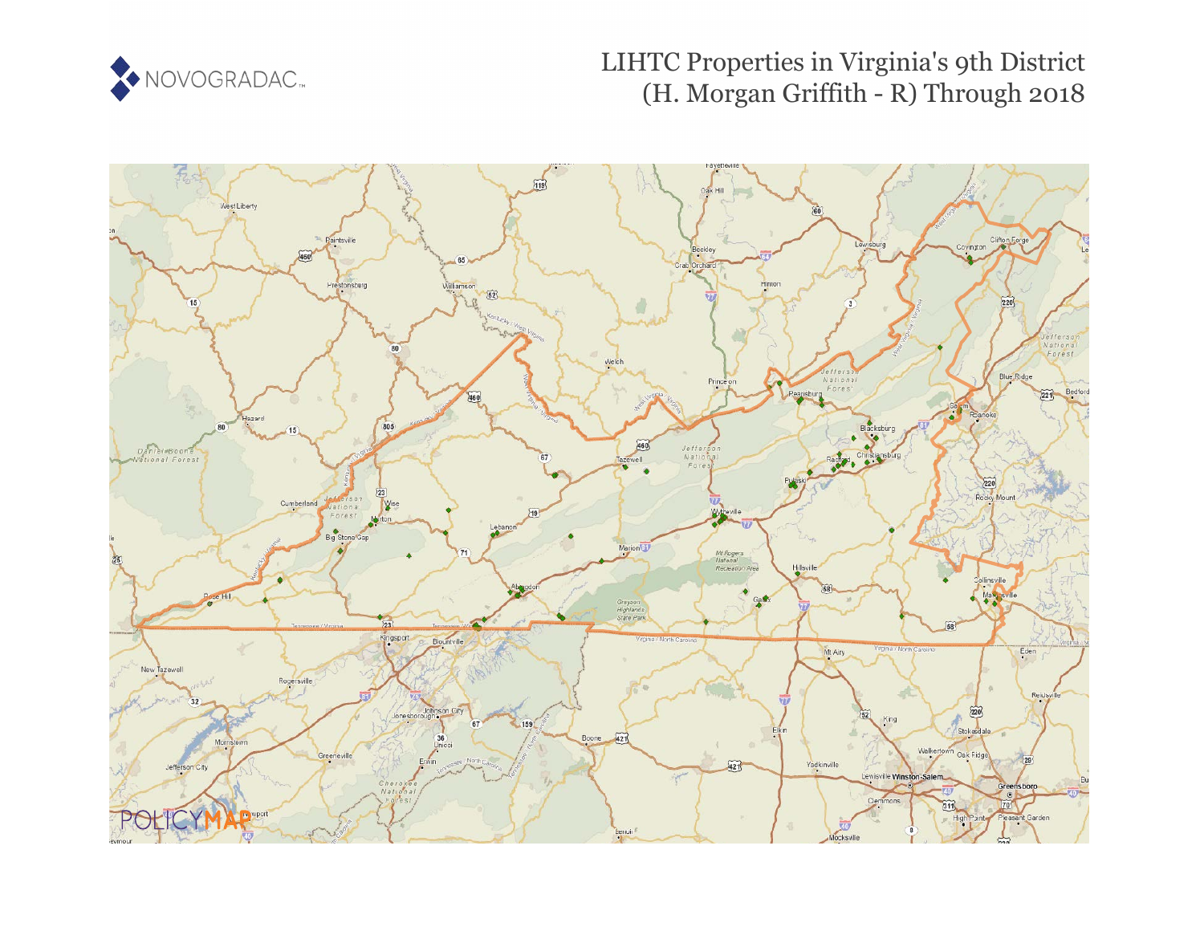

# LIHTC Properties in Virginia's 9th District (H. Morgan Griffith - R) Through 2018

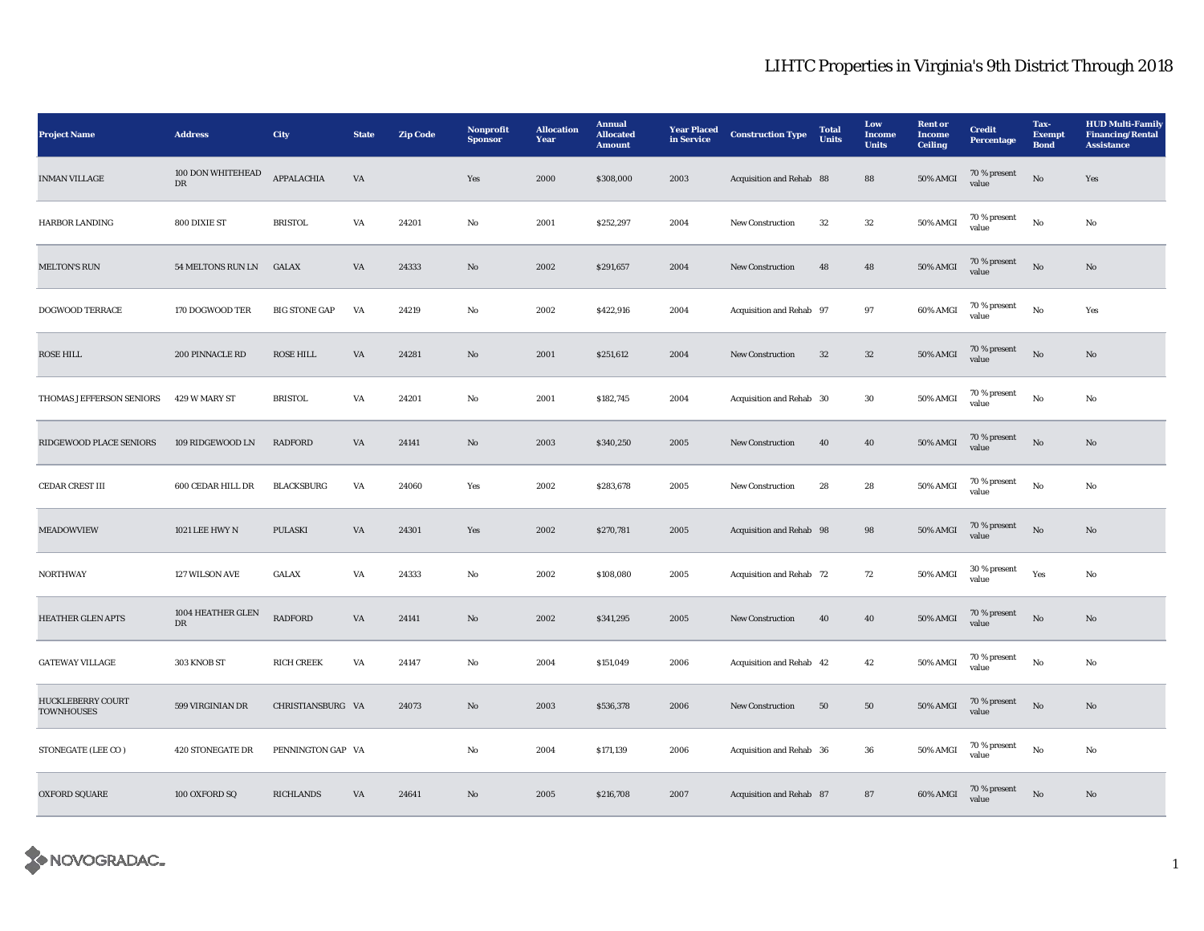| <b>Project Name</b>                           | <b>Address</b>                  | City                 | <b>State</b>           | <b>Zip Code</b> | Nonprofit<br><b>Sponsor</b> | <b>Allocation</b><br>Year | <b>Annual</b><br><b>Allocated</b><br><b>Amount</b> | <b>Year Placed</b><br>in Service | <b>Construction Type</b> | <b>Total</b><br><b>Units</b> | Low<br>Income<br><b>Units</b> | <b>Rent</b> or<br><b>Income</b><br><b>Ceiling</b> | <b>Credit</b><br><b>Percentage</b> | Tax-<br><b>Exempt</b><br><b>Bond</b> | <b>HUD Multi-Family</b><br><b>Financing/Rental</b><br><b>Assistance</b> |
|-----------------------------------------------|---------------------------------|----------------------|------------------------|-----------------|-----------------------------|---------------------------|----------------------------------------------------|----------------------------------|--------------------------|------------------------------|-------------------------------|---------------------------------------------------|------------------------------------|--------------------------------------|-------------------------------------------------------------------------|
| <b>INMAN VILLAGE</b>                          | 100 DON WHITEHEAD<br>${\rm DR}$ | APPALACHIA           | VA                     |                 | Yes                         | 2000                      | \$308,000                                          | 2003                             | Acquisition and Rehab 88 |                              | 88                            | <b>50% AMGI</b>                                   | 70 % present<br>value              | $\rm No$                             | Yes                                                                     |
| <b>HARBOR LANDING</b>                         | 800 DIXIE ST                    | <b>BRISTOL</b>       | VA                     | 24201           | No                          | 2001                      | \$252,297                                          | 2004                             | <b>New Construction</b>  | 32                           | $32\,$                        | 50% AMGI                                          | 70 % present<br>value              | No                                   | No                                                                      |
| <b>MELTON'S RUN</b>                           | 54 MELTONS RUN LN               | <b>GALAX</b>         | $\mathbf{V}\mathbf{A}$ | 24333           | No                          | 2002                      | \$291,657                                          | 2004                             | <b>New Construction</b>  | 48                           | 48                            | <b>50% AMGI</b>                                   | 70 % present<br>value              | $\rm No$                             | No                                                                      |
| DOGWOOD TERRACE                               | 170 DOGWOOD TER                 | <b>BIG STONE GAP</b> | VA                     | 24219           | No                          | 2002                      | \$422,916                                          | 2004                             | Acquisition and Rehab 97 |                              | 97                            | 60% AMGI                                          | 70 % present<br>value              | $_{\rm No}$                          | Yes                                                                     |
| <b>ROSE HILL</b>                              | 200 PINNACLE RD                 | <b>ROSE HILL</b>     | VA                     | 24281           | $\mathbf{N}\mathbf{o}$      | 2001                      | \$251,612                                          | 2004                             | <b>New Construction</b>  | $32\,$                       | $32\phantom{.0}$              | <b>50% AMGI</b>                                   | 70 % present<br>value              | $\rm No$                             | $\mathbf{No}$                                                           |
| THOMAS JEFFERSON SENIORS                      | 429 W MARY ST                   | <b>BRISTOL</b>       | VA                     | 24201           | No                          | 2001                      | \$182,745                                          | 2004                             | Acquisition and Rehab 30 |                              | 30                            | 50% AMGI                                          | $70\,\%$ present<br>value          | $_{\rm No}$                          | $\mathbf{No}$                                                           |
| RIDGEWOOD PLACE SENIORS                       | 109 RIDGEWOOD LN                | <b>RADFORD</b>       | $\mathbf{V}\mathbf{A}$ | 24141           | $\rm No$                    | 2003                      | \$340,250                                          | 2005                             | New Construction         | 40                           | ${\bf 40}$                    | <b>50% AMGI</b>                                   | 70 % present<br>value              | $_{\rm No}$                          | $\rm No$                                                                |
| CEDAR CREST III                               | 600 CEDAR HILL DR               | <b>BLACKSBURG</b>    | VA                     | 24060           | Yes                         | 2002                      | \$283,678                                          | 2005                             | New Construction         | 28                           | $\bf 28$                      | 50% AMGI                                          | 70 % present<br>value              | $_{\rm No}$                          | No                                                                      |
| <b>MEADOWVIEW</b>                             | 1021 LEE HWY N                  | <b>PULASKI</b>       | VA                     | 24301           | Yes                         | 2002                      | \$270,781                                          | 2005                             | Acquisition and Rehab 98 |                              | 98                            | <b>50% AMGI</b>                                   | 70 % present<br>value              | $_{\rm No}$                          | $\mathbf{N}\mathbf{o}$                                                  |
| <b>NORTHWAY</b>                               | 127 WILSON AVE                  | <b>GALAX</b>         | VA                     | 24333           | No                          | 2002                      | \$108,080                                          | 2005                             | Acquisition and Rehab 72 |                              | 72                            | 50% AMGI                                          | 30 % present<br>value              | Yes                                  | No                                                                      |
| HEATHER GLEN APTS                             | 1004 HEATHER GLEN<br>${\rm DR}$ | <b>RADFORD</b>       | $\mathbf{V}\mathbf{A}$ | 24141           | $\mathbf{N}\mathbf{o}$      | 2002                      | \$341,295                                          | 2005                             | New Construction         | 40                           | 40                            | <b>50% AMGI</b>                                   | 70 % present<br>value              | $\rm No$                             | No                                                                      |
| <b>GATEWAY VILLAGE</b>                        | 303 KNOB ST                     | <b>RICH CREEK</b>    | VA                     | 24147           | No                          | 2004                      | \$151,049                                          | 2006                             | Acquisition and Rehab 42 |                              | 42                            | 50% AMGI                                          | 70 % present<br>value              | No                                   | No                                                                      |
| <b>HUCKLEBERRY COURT</b><br><b>TOWNHOUSES</b> | 599 VIRGINIAN DR                | CHRISTIANSBURG VA    |                        | 24073           | No                          | 2003                      | \$536,378                                          | 2006                             | <b>New Construction</b>  | 50                           | 50                            | 50% AMGI                                          | 70 % present<br>value              | $\rm No$                             | No                                                                      |
| STONEGATE (LEE CO)                            | <b>420 STONEGATE DR</b>         | PENNINGTON GAP VA    |                        |                 | No                          | 2004                      | \$171,139                                          | 2006                             | Acquisition and Rehab 36 |                              | 36                            | 50% AMGI                                          | 70 % present<br>value              | No                                   | No                                                                      |
| OXFORD SQUARE                                 | 100 OXFORD SQ                   | RICHLANDS            | VA                     | 24641           | No                          | 2005                      | \$216,708                                          | 2007                             | Acquisition and Rehab 87 |                              | ${\bf 87}$                    | 60% AMGI                                          | 70 % present<br>value              | $\mathbf{No}$                        | No                                                                      |

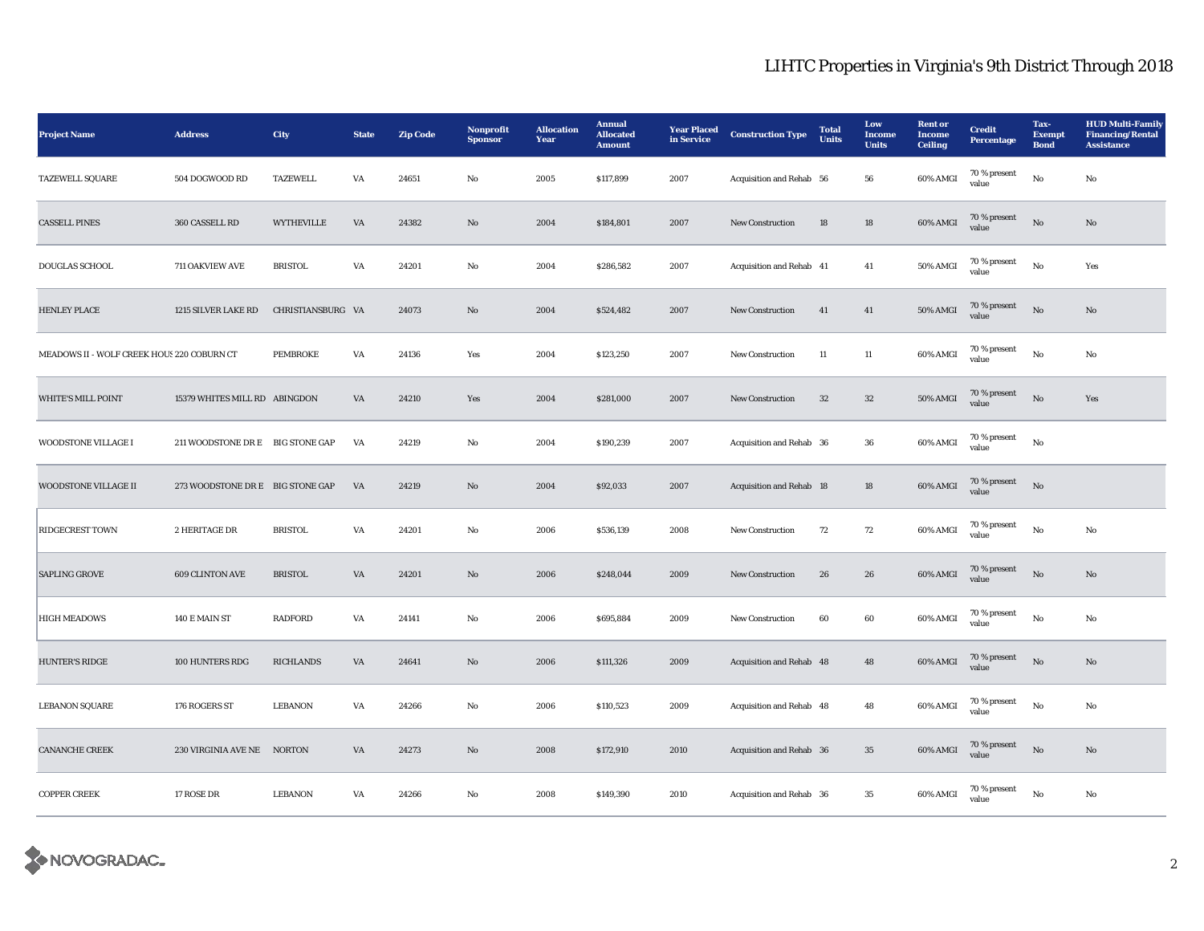| <b>Project Name</b>                        | <b>Address</b>                   | City              | <b>State</b> | <b>Zip Code</b> | Nonprofit<br><b>Sponsor</b> | <b>Allocation</b><br>Year | <b>Annual</b><br><b>Allocated</b><br><b>Amount</b> | <b>Year Placed</b><br>in Service | <b>Construction Type</b> | <b>Total</b><br><b>Units</b> | Low<br>Income<br><b>Units</b> | <b>Rent or</b><br><b>Income</b><br><b>Ceiling</b> | <b>Credit</b><br><b>Percentage</b> | Tax-<br><b>Exempt</b><br><b>Bond</b> | <b>HUD Multi-Family</b><br><b>Financing/Rental</b><br><b>Assistance</b> |
|--------------------------------------------|----------------------------------|-------------------|--------------|-----------------|-----------------------------|---------------------------|----------------------------------------------------|----------------------------------|--------------------------|------------------------------|-------------------------------|---------------------------------------------------|------------------------------------|--------------------------------------|-------------------------------------------------------------------------|
| <b>TAZEWELL SQUARE</b>                     | 504 DOGWOOD RD                   | <b>TAZEWELL</b>   | VA           | 24651           | No                          | 2005                      | \$117,899                                          | 2007                             | Acquisition and Rehab 56 |                              | 56                            | 60% AMGI                                          | 70 % present<br>value              | $\rm No$                             | No                                                                      |
| <b>CASSELL PINES</b>                       | 360 CASSELL RD                   | <b>WYTHEVILLE</b> | VA           | 24382           | $\mathbf{N}\mathbf{o}$      | 2004                      | \$184,801                                          | 2007                             | <b>New Construction</b>  | 18                           | 18                            | 60% AMGI                                          | 70 % present<br>value              | No                                   | No                                                                      |
| DOUGLAS SCHOOL                             | 711 OAKVIEW AVE                  | <b>BRISTOL</b>    | VA           | 24201           | No                          | 2004                      | \$286,582                                          | 2007                             | Acquisition and Rehab 41 |                              | 41                            | 50% AMGI                                          | 70 % present<br>value              | No                                   | Yes                                                                     |
| <b>HENLEY PLACE</b>                        | 1215 SILVER LAKE RD              | CHRISTIANSBURG VA |              | 24073           | $\mathbf{N}\mathbf{o}$      | 2004                      | \$524,482                                          | 2007                             | New Construction         | 41                           | 41                            | 50% AMGI                                          | 70 % present<br>value              | $_{\rm No}$                          | No                                                                      |
| MEADOWS II - WOLF CREEK HOUS 220 COBURN CT |                                  | PEMBROKE          | VA           | 24136           | Yes                         | 2004                      | \$123,250                                          | 2007                             | New Construction         | $11\,$                       | $11\,$                        | 60% AMGI                                          | 70 % present<br>value              | $\rm No$                             | No                                                                      |
| <b>WHITE'S MILL POINT</b>                  | 15379 WHITES MILL RD ABINGDON    |                   | VA           | 24210           | Yes                         | 2004                      | \$281,000                                          | 2007                             | <b>New Construction</b>  | 32                           | $32\,$                        | <b>50% AMGI</b>                                   | 70 % present<br>value              | No                                   | Yes                                                                     |
| WOODSTONE VILLAGE I                        | 211 WOODSTONE DR E BIG STONE GAP |                   | VA           | 24219           | No                          | 2004                      | \$190,239                                          | 2007                             | Acquisition and Rehab 36 |                              | ${\bf 36}$                    | 60% AMGI                                          | 70 % present<br>value              | No                                   |                                                                         |
| <b>WOODSTONE VILLAGE II</b>                | 273 WOODSTONE DR E BIG STONE GAP |                   | VA           | 24219           | $\mathbf{N}\mathbf{o}$      | 2004                      | \$92,033                                           | 2007                             | Acquisition and Rehab 18 |                              | 18                            | 60% AMGI                                          | $70\,\%$ present<br>value          | $_{\rm No}$                          |                                                                         |
| <b>RIDGECREST TOWN</b>                     | 2 HERITAGE DR                    | <b>BRISTOL</b>    | VA           | 24201           | No                          | 2006                      | \$536,139                                          | 2008                             | <b>New Construction</b>  | 72                           | 72                            | 60% AMGI                                          | 70 % present<br>value              | No                                   | No                                                                      |
| <b>SAPLING GROVE</b>                       | 609 CLINTON AVE                  | <b>BRISTOL</b>    | VA           | 24201           | No                          | 2006                      | \$248,044                                          | 2009                             | New Construction         | 26                           | ${\bf 26}$                    | 60% AMGI                                          | 70 % present<br>value              | $\rm No$                             | No                                                                      |
| <b>HIGH MEADOWS</b>                        | 140 E MAIN ST                    | <b>RADFORD</b>    | VA           | 24141           | $\rm No$                    | 2006                      | \$695,884                                          | 2009                             | <b>New Construction</b>  | 60                           | 60                            | 60% AMGI                                          | 70 % present<br>value              | $\rm\thinspace No$                   | No                                                                      |
| <b>HUNTER'S RIDGE</b>                      | 100 HUNTERS RDG                  | <b>RICHLANDS</b>  | VA           | 24641           | $\mathbf{N}\mathbf{o}$      | 2006                      | \$111,326                                          | 2009                             | Acquisition and Rehab 48 |                              | 48                            | 60% AMGI                                          | $70\,\%$ present<br>value          | $\rm No$                             | $\mathbf{N}\mathbf{o}$                                                  |
| <b>LEBANON SQUARE</b>                      | 176 ROGERS ST                    | LEBANON           | VA           | 24266           | No                          | 2006                      | \$110,523                                          | 2009                             | Acquisition and Rehab 48 |                              | 48                            | 60% AMGI                                          | $70\,\%$ present<br>value          | $\mathbf{No}$                        | No                                                                      |
| <b>CANANCHE CREEK</b>                      | 230 VIRGINIA AVE NE NORTON       |                   | VA           | 24273           | No                          | 2008                      | \$172,910                                          | 2010                             | Acquisition and Rehab 36 |                              | 35                            | 60% AMGI                                          | 70 % present<br>value              | $\mathbf{N}\mathbf{o}$               | No                                                                      |
| <b>COPPER CREEK</b>                        | 17 ROSE DR                       | LEBANON           | VA           | 24266           | No                          | 2008                      | \$149,390                                          | 2010                             | Acquisition and Rehab 36 |                              | 35                            | 60% AMGI                                          | 70 % present<br>value              | No                                   | No                                                                      |

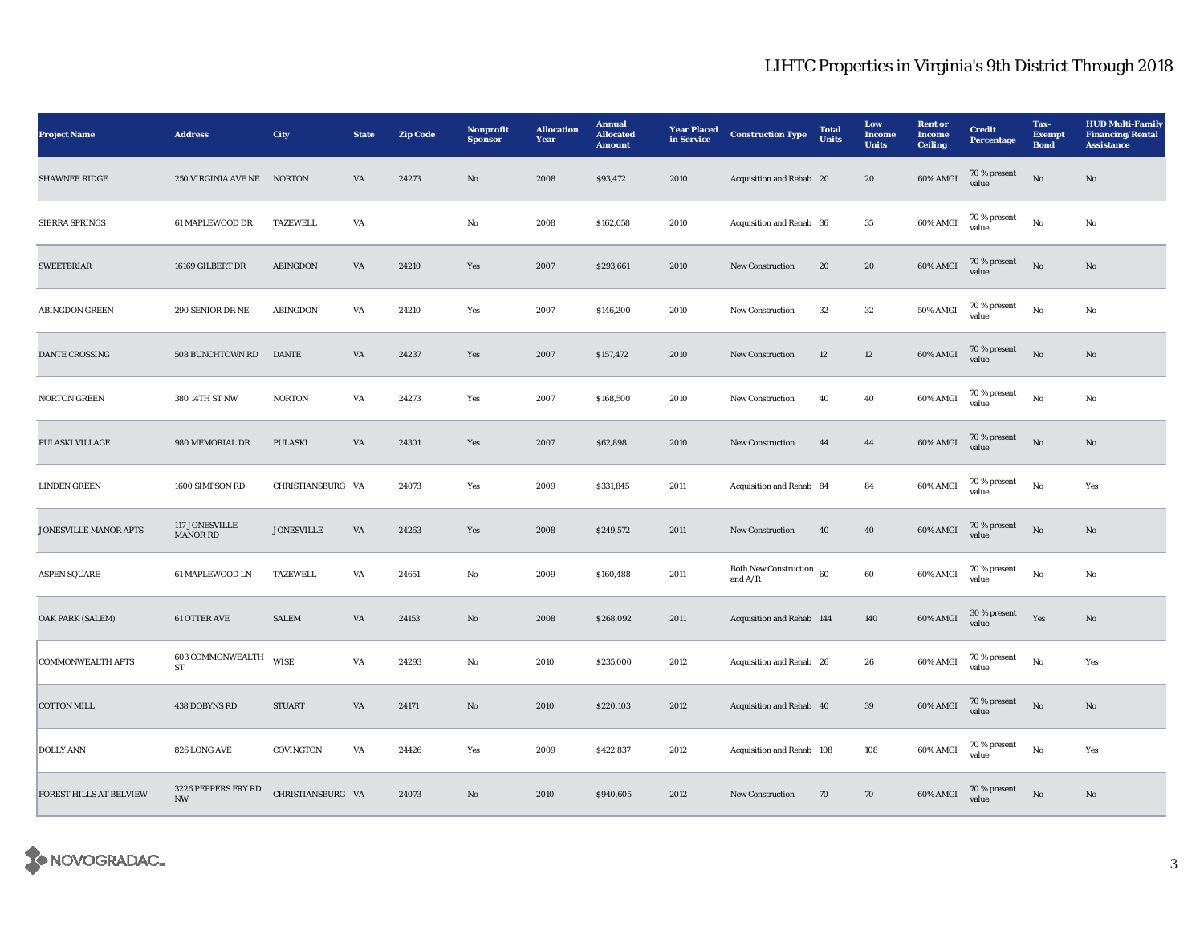| <b>Project Name</b>      | <b>Address</b>                                  | <b>City</b>       | <b>State</b>           | <b>Zip Code</b> | Nonprofit<br><b>Sponsor</b> | <b>Allocation</b><br>Year | <b>Annual</b><br><b>Allocated</b><br><b>Amount</b> | <b>Year Placed</b><br>in Service | <b>Construction Type</b>              | <b>Total</b><br><b>Units</b> | Low<br><b>Income</b><br><b>Units</b> | <b>Rent or</b><br>Income<br><b>Ceiling</b> | <b>Credit</b><br><b>Percentage</b> | Tax-<br><b>Exempt</b><br><b>Bond</b> | <b>HUD Multi-Family</b><br><b>Financing/Rental</b><br><b>Assistance</b> |
|--------------------------|-------------------------------------------------|-------------------|------------------------|-----------------|-----------------------------|---------------------------|----------------------------------------------------|----------------------------------|---------------------------------------|------------------------------|--------------------------------------|--------------------------------------------|------------------------------------|--------------------------------------|-------------------------------------------------------------------------|
| <b>SHAWNEE RIDGE</b>     | 250 VIRGINIA AVE NE NORTON                      |                   | VA                     | 24273           | $\mathbf{N}\mathbf{o}$      | 2008                      | \$93,472                                           | 2010                             | Acquisition and Rehab 20              |                              | 20                                   | 60% AMGI                                   | 70 % present<br>value              | No                                   | No                                                                      |
| <b>SIERRA SPRINGS</b>    | 61 MAPLEWOOD DR                                 | <b>TAZEWELL</b>   | VA                     |                 | No                          | 2008                      | \$162,058                                          | 2010                             | Acquisition and Rehab 36              |                              | 35                                   | 60% AMGI                                   | 70 % present<br>value              | No                                   | No                                                                      |
| <b>SWEETBRIAR</b>        | 16169 GILBERT DR                                | ABINGDON          | VA                     | 24210           | Yes                         | 2007                      | \$293,661                                          | 2010                             | New Construction                      | 20                           | ${\bf 20}$                           | 60% AMGI                                   | 70 % present<br>value              | No                                   | No                                                                      |
| <b>ABINGDON GREEN</b>    | 290 SENIOR DR NE                                | ABINGDON          | VA                     | 24210           | Yes                         | 2007                      | \$146,200                                          | 2010                             | <b>New Construction</b>               | 32                           | $32\,$                               | <b>50% AMGI</b>                            | 70 % present<br>value              | No                                   | No                                                                      |
| DANTE CROSSING           | 508 BUNCHTOWN RD                                | <b>DANTE</b>      | VA                     | 24237           | Yes                         | 2007                      | \$157,472                                          | 2010                             | <b>New Construction</b>               | 12                           | 12                                   | 60% AMGI                                   | $70\,\%$ present<br>value          | $\rm No$                             | No                                                                      |
| <b>NORTON GREEN</b>      | 380 14TH ST NW                                  | <b>NORTON</b>     | $\mathbf{V}\mathbf{A}$ | 24273           | Yes                         | 2007                      | \$168,500                                          | 2010                             | <b>New Construction</b>               | 40                           | 40                                   | 60% AMGI                                   | 70 % present<br>value              | $_{\rm No}$                          | $_{\rm No}$                                                             |
| PULASKI VILLAGE          | 980 MEMORIAL DR                                 | <b>PULASKI</b>    | VA                     | 24301           | Yes                         | 2007                      | \$62,898                                           | 2010                             | <b>New Construction</b>               | 44                           | 44                                   | 60% AMGI                                   | 70 % present<br>value              | No                                   | $\mathbf {No}$                                                          |
| <b>LINDEN GREEN</b>      | 1600 SIMPSON RD                                 | CHRISTIANSBURG VA |                        | 24073           | Yes                         | 2009                      | \$331,845                                          | 2011                             | Acquisition and Rehab 84              |                              | 84                                   | 60% AMGI                                   | 70 % present<br>value              | No                                   | Yes                                                                     |
| JONESVILLE MANOR APTS    | 117 JONESVILLE<br>MANOR RD                      | <b>JONESVILLE</b> | VA                     | 24263           | Yes                         | 2008                      | \$249,572                                          | 2011                             | New Construction                      | 40                           | 40                                   | 60% AMGI                                   | 70 % present<br>value              | No                                   | $\mathbf{N}\mathbf{o}$                                                  |
| <b>ASPEN SQUARE</b>      | 61 MAPLEWOOD LN                                 | <b>TAZEWELL</b>   | VA                     | 24651           | No                          | 2009                      | \$160,488                                          | 2011                             | Both New Construction 60<br>and $A/R$ |                              | $60\,$                               | 60% AMGI                                   | 70 % present<br>value              | No                                   | No                                                                      |
| OAK PARK (SALEM)         | <b>61 OTTER AVE</b>                             | <b>SALEM</b>      | VA                     | 24153           | No                          | 2008                      | \$268,092                                          | 2011                             | Acquisition and Rehab 144             |                              | 140                                  | 60% AMGI                                   | $30$ % present<br>value            | Yes                                  | No                                                                      |
| <b>COMMONWEALTH APTS</b> | 603 COMMONWEALTH<br>ST                          | <b>WISE</b>       | VA                     | 24293           | No                          | 2010                      | \$235,000                                          | 2012                             | Acquisition and Rehab 26              |                              | 26                                   | 60% AMGI                                   | $70\,\%$ present<br>value          | No                                   | Yes                                                                     |
| <b>COTTON MILL</b>       | 438 DOBYNS RD                                   | <b>STUART</b>     | VA                     | 24171           | $\mathbf{No}$               | 2010                      | \$220,103                                          | 2012                             | Acquisition and Rehab 40              |                              | $39\,$                               | 60% AMGI                                   | $70$ % present $\,$<br>value       | $_{\rm No}$                          | $\mathbf{No}$                                                           |
| <b>DOLLY ANN</b>         | 826 LONG AVE                                    | COVINGTON         | VA                     | 24426           | Yes                         | 2009                      | \$422,837                                          | 2012                             | Acquisition and Rehab 108             |                              | 108                                  | 60% AMGI                                   | 70 % present<br>value              | No                                   | Yes                                                                     |
| FOREST HILLS AT BELVIEW  | 3226 PEPPERS FRY RD<br>$\ensuremath{\text{NW}}$ | CHRISTIANSBURG VA |                        | 24073           | No                          | 2010                      | \$940,605                                          | 2012                             | <b>New Construction</b>               | 70                           | 70                                   | 60% AMGI                                   | 70 % present<br>value              | $\rm No$                             | No                                                                      |

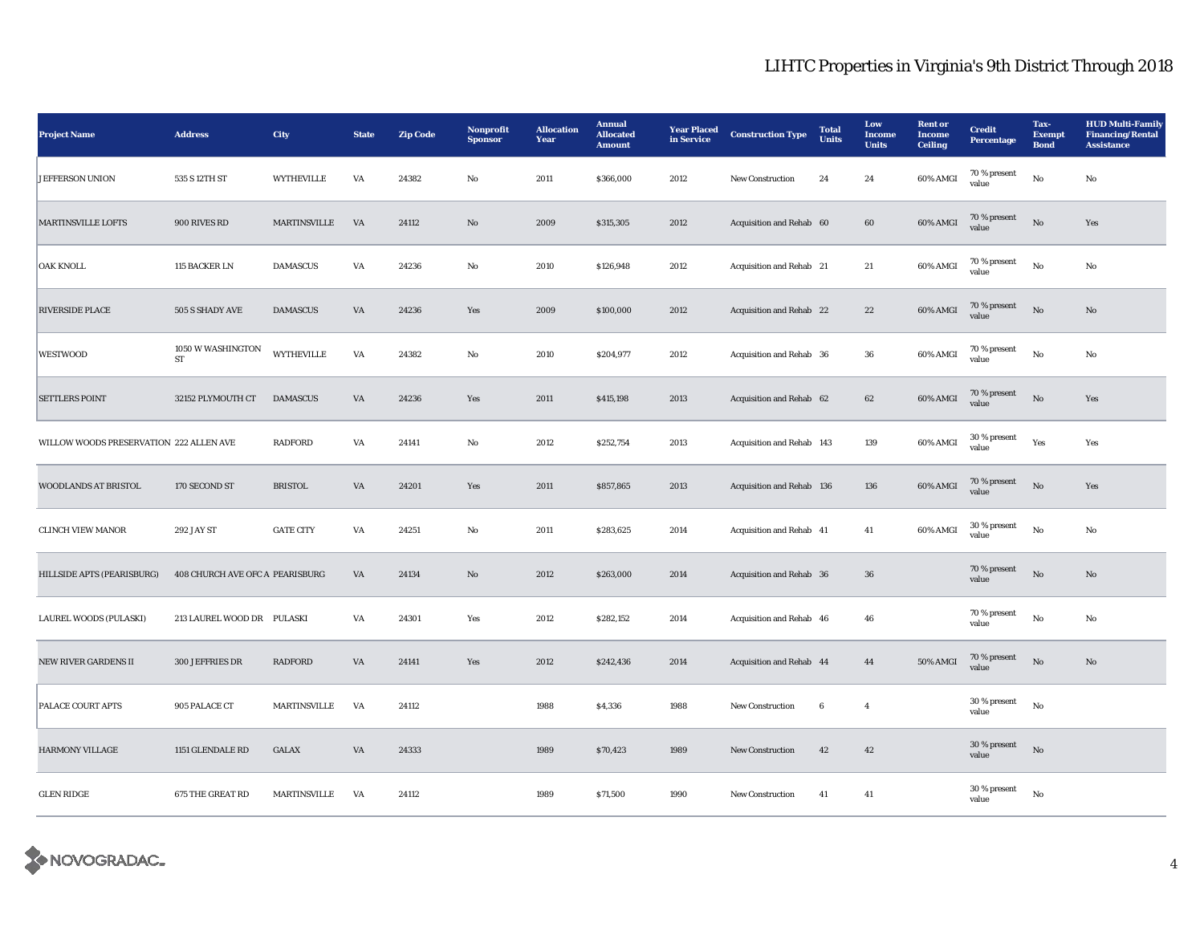| <b>Project Name</b>                     | <b>Address</b>                  | <b>City</b>         | <b>State</b> | <b>Zip Code</b> | Nonprofit<br><b>Sponsor</b> | <b>Allocation</b><br>Year | <b>Annual</b><br><b>Allocated</b><br><b>Amount</b> | <b>Year Placed</b><br>in Service | <b>Construction Type</b>  | <b>Total</b><br><b>Units</b> | Low<br><b>Income</b><br><b>Units</b> | <b>Rent</b> or<br>Income<br><b>Ceiling</b> | <b>Credit</b><br><b>Percentage</b> | Tax-<br><b>Exempt</b><br><b>Bond</b> | <b>HUD Multi-Family</b><br><b>Financing/Rental</b><br><b>Assistance</b> |
|-----------------------------------------|---------------------------------|---------------------|--------------|-----------------|-----------------------------|---------------------------|----------------------------------------------------|----------------------------------|---------------------------|------------------------------|--------------------------------------|--------------------------------------------|------------------------------------|--------------------------------------|-------------------------------------------------------------------------|
| <b>JEFFERSON UNION</b>                  | 535 S 12TH ST                   | WYTHEVILLE          | VA           | 24382           | No                          | 2011                      | \$366,000                                          | 2012                             | New Construction          | 24                           | 24                                   | 60% AMGI                                   | 70 % present<br>value              | No                                   | No                                                                      |
| <b>MARTINSVILLE LOFTS</b>               | 900 RIVES RD                    | MARTINSVILLE        | VA           | 24112           | $\mathbf{N}\mathbf{o}$      | 2009                      | \$315,305                                          | 2012                             | Acquisition and Rehab 60  |                              | 60                                   | 60% AMGI                                   | 70 % present<br>value              | No                                   | Yes                                                                     |
| OAK KNOLL                               | 115 BACKER LN                   | <b>DAMASCUS</b>     | VA           | 24236           | No                          | 2010                      | \$126,948                                          | 2012                             | Acquisition and Rehab 21  |                              | $21\,$                               | 60% AMGI                                   | 70 % present<br>value              | $_{\rm No}$                          | No                                                                      |
| RIVERSIDE PLACE                         | 505 S SHADY AVE                 | <b>DAMASCUS</b>     | VA           | 24236           | Yes                         | 2009                      | \$100,000                                          | 2012                             | Acquisition and Rehab 22  |                              | $\bf 22$                             | 60% AMGI                                   | 70 % present<br>value              | $\rm No$                             | $\mathbf{N}\mathbf{o}$                                                  |
| <b>WESTWOOD</b>                         | 1050 W WASHINGTON<br>ST         | <b>WYTHEVILLE</b>   | VA           | 24382           | No                          | 2010                      | \$204,977                                          | 2012                             | Acquisition and Rehab 36  |                              | 36                                   | 60% AMGI                                   | 70 % present<br>value              | No                                   | No                                                                      |
| <b>SETTLERS POINT</b>                   | 32152 PLYMOUTH CT               | <b>DAMASCUS</b>     | VA           | 24236           | Yes                         | 2011                      | \$415,198                                          | 2013                             | Acquisition and Rehab 62  |                              | 62                                   | 60% AMGI                                   | 70 % present<br>value              | $\mathbf{N}\mathbf{o}$               | Yes                                                                     |
| WILLOW WOODS PRESERVATION 222 ALLEN AVE |                                 | <b>RADFORD</b>      | VA           | 24141           | No                          | 2012                      | \$252,754                                          | 2013                             | Acquisition and Rehab 143 |                              | 139                                  | 60% AMGI                                   | 30 % present<br>value              | Yes                                  | Yes                                                                     |
| WOODLANDS AT BRISTOL                    | 170 SECOND ST                   | <b>BRISTOL</b>      | VA           | 24201           | Yes                         | 2011                      | \$857,865                                          | 2013                             | Acquisition and Rehab 136 |                              | 136                                  | 60% AMGI                                   | 70 % present<br>value              | $\rm No$                             | Yes                                                                     |
| <b>CLINCH VIEW MANOR</b>                | 292 JAY ST                      | <b>GATE CITY</b>    | VA           | 24251           | $\rm No$                    | 2011                      | \$283,625                                          | 2014                             | Acquisition and Rehab 41  |                              | $41\,$                               | 60% AMGI                                   | 30 % present<br>value              | $_{\rm No}$                          | $\mathbf{No}$                                                           |
| HILLSIDE APTS (PEARISBURG)              | 408 CHURCH AVE OFC A PEARISBURG |                     | VA           | 24134           | $\mathbf{N}\mathbf{o}$      | 2012                      | \$263,000                                          | 2014                             | Acquisition and Rehab 36  |                              | 36                                   |                                            | 70 % present<br>value              | $\rm No$                             | $\mathbf{N}\mathbf{o}$                                                  |
| LAUREL WOODS (PULASKI)                  | 213 LAUREL WOOD DR PULASKI      |                     | VA           | 24301           | Yes                         | 2012                      | \$282,152                                          | 2014                             | Acquisition and Rehab 46  |                              | 46                                   |                                            | 70 % present<br>value              | No                                   | No                                                                      |
| <b>NEW RIVER GARDENS II</b>             | <b>300 JEFFRIES DR</b>          | <b>RADFORD</b>      | VA           | 24141           | Yes                         | 2012                      | \$242,436                                          | 2014                             | Acquisition and Rehab 44  |                              | 44                                   | 50% AMGI                                   | 70 % present<br>value              | $\rm No$                             | $\mathbf{N}\mathbf{o}$                                                  |
| PALACE COURT APTS                       | 905 PALACE CT                   | MARTINSVILLE        | VA           | 24112           |                             | 1988                      | \$4,336                                            | 1988                             | <b>New Construction</b>   | $\bf 6$                      | $\overline{4}$                       |                                            | 30 % present<br>value              | $_{\rm No}$                          |                                                                         |
| <b>HARMONY VILLAGE</b>                  | 1151 GLENDALE RD                | GALAX               | VA           | 24333           |                             | 1989                      | \$70,423                                           | 1989                             | New Construction          | 42                           | 42                                   |                                            | 30 % present<br>value              | $\rm No$                             |                                                                         |
| <b>GLEN RIDGE</b>                       | 675 THE GREAT RD                | <b>MARTINSVILLE</b> | VA           | 24112           |                             | 1989                      | \$71,500                                           | 1990                             | <b>New Construction</b>   | 41                           | 41                                   |                                            | 30 % present<br>value              | $_{\rm No}$                          |                                                                         |

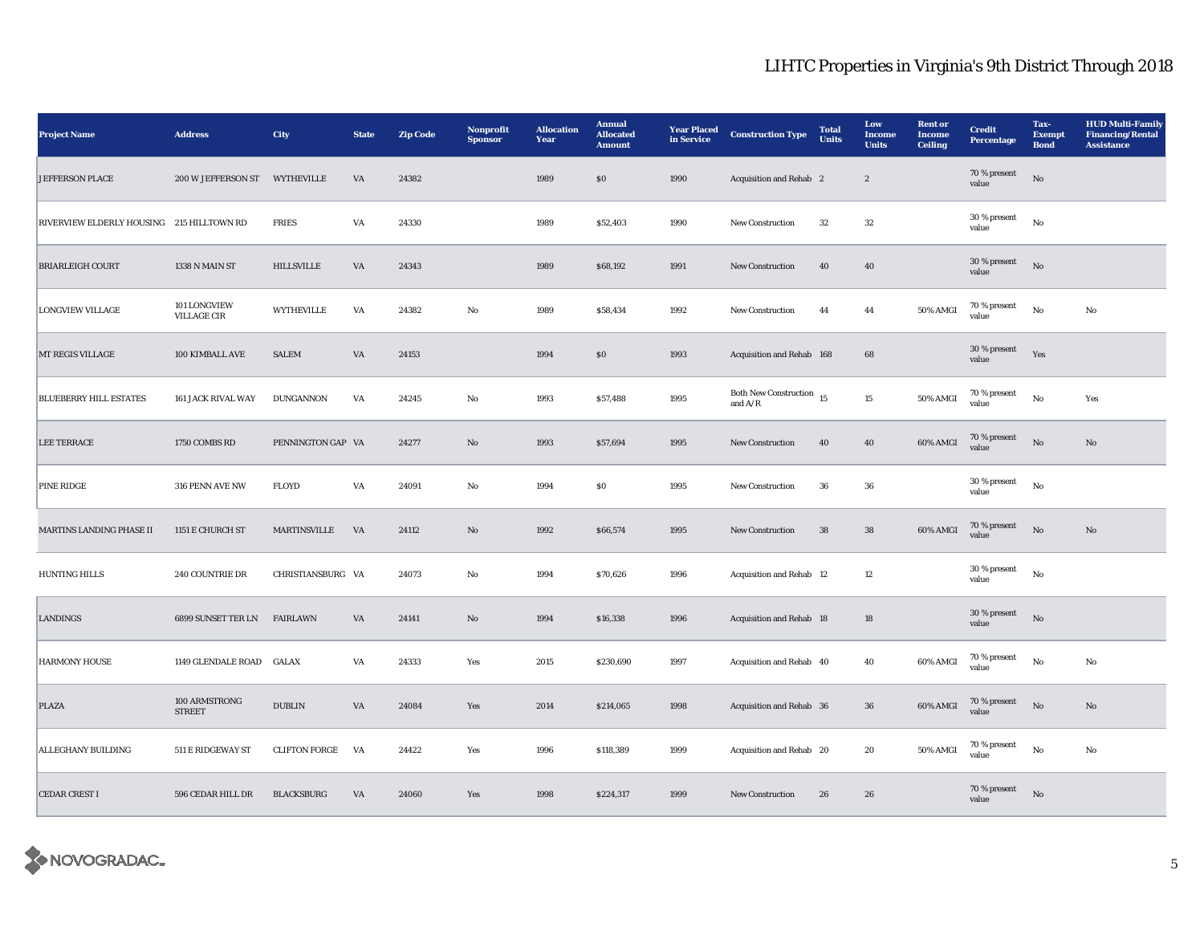| <b>Project Name</b>                       | <b>Address</b>                 | City                 | <b>State</b> | <b>Zip Code</b> | Nonprofit<br><b>Sponsor</b> | <b>Allocation</b><br>Year | <b>Annual</b><br><b>Allocated</b><br><b>Amount</b> | <b>Year Placed</b><br>in Service | <b>Construction Type</b>                       | <b>Total</b><br><b>Units</b> | Low<br><b>Income</b><br><b>Units</b> | <b>Rent</b> or<br><b>Income</b><br><b>Ceiling</b> | <b>Credit</b><br><b>Percentage</b> | Tax-<br><b>Exempt</b><br><b>Bond</b> | <b>HUD Multi-Family</b><br><b>Financing/Rental</b><br><b>Assistance</b> |
|-------------------------------------------|--------------------------------|----------------------|--------------|-----------------|-----------------------------|---------------------------|----------------------------------------------------|----------------------------------|------------------------------------------------|------------------------------|--------------------------------------|---------------------------------------------------|------------------------------------|--------------------------------------|-------------------------------------------------------------------------|
| <b>JEFFERSON PLACE</b>                    | 200 W JEFFERSON ST             | <b>WYTHEVILLE</b>    | VA           | 24382           |                             | 1989                      | $\$0$                                              | 1990                             | Acquisition and Rehab 2                        |                              | $\boldsymbol{2}$                     |                                                   | 70 % present<br>value              | $_{\rm No}$                          |                                                                         |
| RIVERVIEW ELDERLY HOUSING 215 HILLTOWN RD |                                | <b>FRIES</b>         | VA           | 24330           |                             | 1989                      | \$52,403                                           | 1990                             | New Construction                               | 32                           | $32\,$                               |                                                   | 30 % present<br>value              | $_{\rm No}$                          |                                                                         |
| <b>BRIARLEIGH COURT</b>                   | 1338 N MAIN ST                 | <b>HILLSVILLE</b>    | VA           | 24343           |                             | 1989                      | \$68,192                                           | 1991                             | New Construction                               | 40                           | 40                                   |                                                   | 30 % present<br>value              | No                                   |                                                                         |
| <b>LONGVIEW VILLAGE</b>                   | 101 LONGVIEW<br>VILLAGE CIR    | <b>WYTHEVILLE</b>    | VA           | 24382           | $\mathbf{No}$               | 1989                      | \$58,434                                           | 1992                             | <b>New Construction</b>                        | 44                           | 44                                   | 50% AMGI                                          | 70 % present<br>value              | $_{\rm No}$                          | No                                                                      |
| MT REGIS VILLAGE                          | 100 KIMBALL AVE                | <b>SALEM</b>         | VA           | 24153           |                             | 1994                      | \$0                                                | 1993                             | Acquisition and Rehab 168                      |                              | 68                                   |                                                   | 30 % present<br>value              | Yes                                  |                                                                         |
| <b>BLUEBERRY HILL ESTATES</b>             | 161 JACK RIVAL WAY             | <b>DUNGANNON</b>     | VA           | 24245           | No                          | 1993                      | \$57,488                                           | 1995                             | Both New Construction $\,$ 15<br>and $\rm A/R$ |                              | 15                                   | 50% AMGI                                          | 70 % present<br>value              | $_{\rm No}$                          | Yes                                                                     |
| <b>LEE TERRACE</b>                        | 1750 COMBS RD                  | PENNINGTON GAP VA    |              | 24277           | $\mathbf{N}\mathbf{o}$      | 1993                      | \$57,694                                           | 1995                             | <b>New Construction</b>                        | 40                           | 40                                   | 60% AMGI                                          | 70 % present<br>value              | $_{\rm No}$                          | $\mathbf{No}$                                                           |
| <b>PINE RIDGE</b>                         | 316 PENN AVE NW                | <b>FLOYD</b>         | VA           | 24091           | No                          | 1994                      | $\$0$                                              | 1995                             | <b>New Construction</b>                        | 36                           | 36                                   |                                                   | 30 % present<br>value              | $_{\rm No}$                          |                                                                         |
| MARTINS LANDING PHASE II                  | 1151 E CHURCH ST               | MARTINSVILLE         | VA           | 24112           | $\mathbf{No}$               | 1992                      | \$66,574                                           | 1995                             | New Construction                               | 38                           | ${\bf 38}$                           | 60% AMGI                                          | 70 % present<br>value              | No                                   | $\mathbf{No}$                                                           |
| <b>HUNTING HILLS</b>                      | 240 COUNTRIE DR                | CHRISTIANSBURG VA    |              | 24073           | No                          | 1994                      | \$70,626                                           | 1996                             | Acquisition and Rehab 12                       |                              | 12                                   |                                                   | 30 % present<br>value              | No                                   |                                                                         |
| LANDINGS                                  | 6899 SUNSET TER LN             | <b>FAIRLAWN</b>      | VA           | 24141           | No                          | 1994                      | \$16,338                                           | 1996                             | Acquisition and Rehab 18                       |                              | 18                                   |                                                   | 30 % present<br>value              | $_{\rm No}$                          |                                                                         |
| <b>HARMONY HOUSE</b>                      | 1149 GLENDALE ROAD GALAX       |                      | VA           | 24333           | Yes                         | 2015                      | \$230,690                                          | 1997                             | Acquisition and Rehab 40                       |                              | 40                                   | 60% AMGI                                          | $70\,\%$ present<br>value          | $_{\rm No}$                          | No                                                                      |
| PLAZA                                     | 100 ARMSTRONG<br><b>STREET</b> | <b>DUBLIN</b>        | VA           | 24084           | Yes                         | 2014                      | \$214,065                                          | 1998                             | Acquisition and Rehab 36                       |                              | ${\bf 36}$                           | 60% AMGI                                          | 70 % present<br>value              | $_{\rm No}$                          | No                                                                      |
| ALLEGHANY BUILDING                        | 511 E RIDGEWAY ST              | <b>CLIFTON FORGE</b> | VA           | 24422           | Yes                         | 1996                      | \$118,389                                          | 1999                             | Acquisition and Rehab 20                       |                              | 20                                   | 50% AMGI                                          | 70 % present<br>value              | $\mathbf{N}\mathbf{o}$               | No                                                                      |
| <b>CEDAR CREST I</b>                      | 596 CEDAR HILL DR              | <b>BLACKSBURG</b>    | VA           | 24060           | Yes                         | 1998                      | \$224,317                                          | 1999                             | New Construction                               | 26                           | 26                                   |                                                   | 70 % present<br>value              | $_{\rm No}$                          |                                                                         |

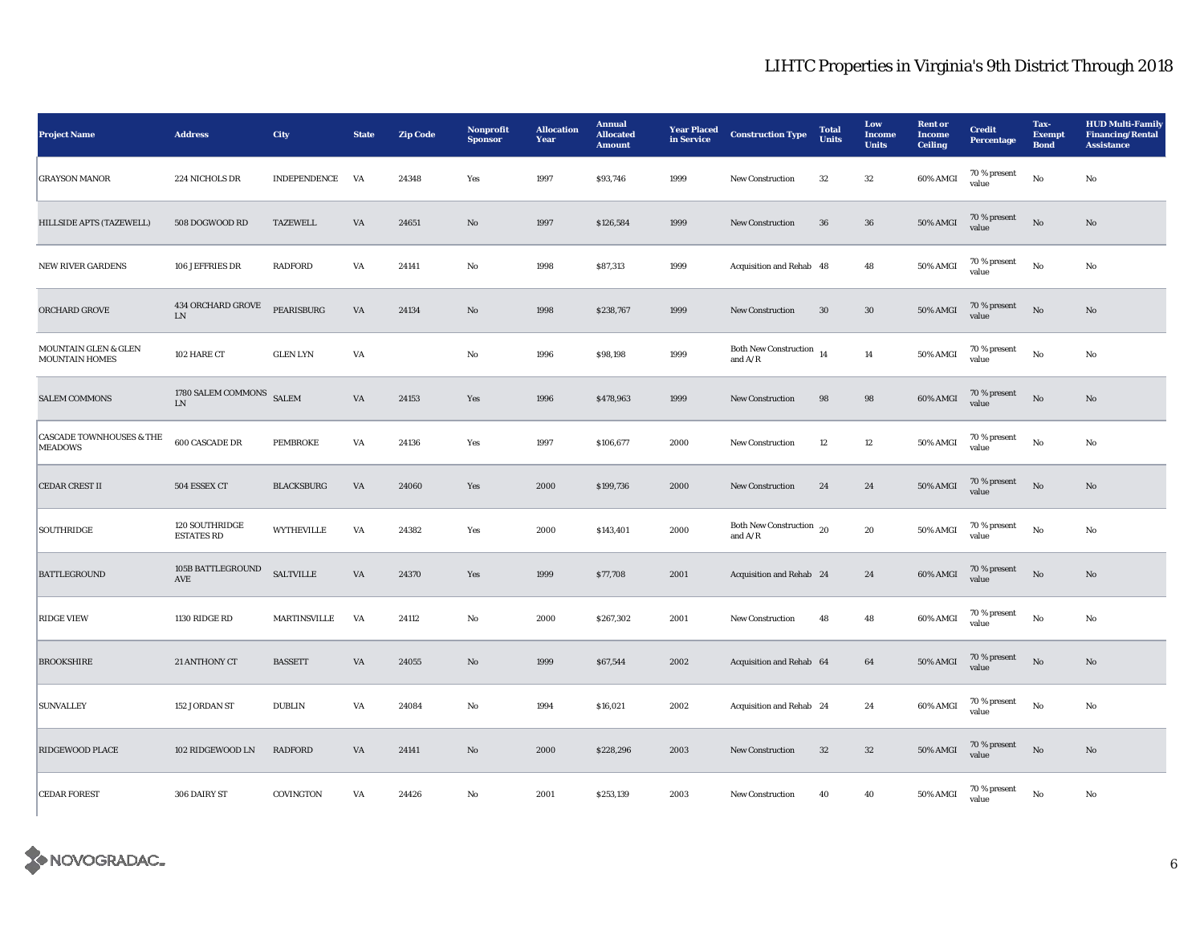| <b>Project Name</b>                                   | <b>Address</b>                      | City                | <b>State</b>           | <b>Zip Code</b> | Nonprofit<br><b>Sponsor</b> | <b>Allocation</b><br>Year | <b>Annual</b><br><b>Allocated</b><br><b>Amount</b> | <b>Year Placed</b><br>in Service | <b>Construction Type</b>                      | <b>Total</b><br><b>Units</b> | Low<br><b>Income</b><br><b>Units</b> | <b>Rent or</b><br><b>Income</b><br><b>Ceiling</b> | <b>Credit</b><br>Percentage | Tax-<br><b>Exempt</b><br><b>Bond</b> | <b>HUD Multi-Family</b><br><b>Financing/Rental</b><br><b>Assistance</b> |
|-------------------------------------------------------|-------------------------------------|---------------------|------------------------|-----------------|-----------------------------|---------------------------|----------------------------------------------------|----------------------------------|-----------------------------------------------|------------------------------|--------------------------------------|---------------------------------------------------|-----------------------------|--------------------------------------|-------------------------------------------------------------------------|
| <b>GRAYSON MANOR</b>                                  | 224 NICHOLS DR                      | <b>INDEPENDENCE</b> | VA                     | 24348           | Yes                         | 1997                      | \$93,746                                           | 1999                             | New Construction                              | 32                           | 32                                   | 60% AMGI                                          | 70 % present<br>value       | No                                   | No                                                                      |
| HILLSIDE APTS (TAZEWELL)                              | 508 DOGWOOD RD                      | <b>TAZEWELL</b>     | VA                     | 24651           | $\mathbf{No}$               | 1997                      | \$126,584                                          | 1999                             | <b>New Construction</b>                       | 36                           | 36                                   | <b>50% AMGI</b>                                   | 70 % present<br>value       | $\rm No$                             | No                                                                      |
| <b>NEW RIVER GARDENS</b>                              | 106 JEFFRIES DR                     | <b>RADFORD</b>      | VA                     | 24141           | $\rm No$                    | 1998                      | \$87,313                                           | 1999                             | Acquisition and Rehab 48                      |                              | 48                                   | <b>50% AMGI</b>                                   | 70 % present<br>value       | No                                   | $\mathbf{No}$                                                           |
| ORCHARD GROVE                                         | 434 ORCHARD GROVE<br>LN             | PEARISBURG          | $\mathbf{V}\mathbf{A}$ | 24134           | $\rm No$                    | 1998                      | \$238,767                                          | 1999                             | <b>New Construction</b>                       | 30                           | $30\,$                               | <b>50% AMGI</b>                                   | 70 % present<br>value       | $\rm No$                             | No                                                                      |
| MOUNTAIN GLEN & GLEN<br>MOUNTAIN HOMES                | 102 HARE CT                         | <b>GLEN LYN</b>     | VA                     |                 | No                          | 1996                      | \$98,198                                           | 1999                             | <b>Both New Construction</b><br>and $A/R$     | 14                           | $14\,$                               | 50% AMGI                                          | $70\,\%$ present<br>value   | $_{\rm No}$                          | $\mathbf{No}$                                                           |
| <b>SALEM COMMONS</b>                                  | 1780 SALEM COMMONS<br>${\rm LN}$    | <b>SALEM</b>        | $\mathbf{V}\mathbf{A}$ | 24153           | Yes                         | 1996                      | \$478,963                                          | 1999                             | New Construction                              | $\bf{98}$                    | 98                                   | 60% AMGI                                          | 70 % present<br>value       | No                                   | $\rm No$                                                                |
| <b>CASCADE TOWNHOUSES &amp; THE</b><br><b>MEADOWS</b> | 600 CASCADE DR                      | PEMBROKE            | VA                     | 24136           | Yes                         | 1997                      | \$106,677                                          | 2000                             | <b>New Construction</b>                       | 12                           | $12\,$                               | <b>50% AMGI</b>                                   | 70 % present<br>value       | No                                   | No                                                                      |
| CEDAR CREST II                                        | 504 ESSEX CT                        | <b>BLACKSBURG</b>   | $\mathbf{V}\mathbf{A}$ | 24060           | Yes                         | 2000                      | \$199,736                                          | 2000                             | <b>New Construction</b>                       | 24                           | 24                                   | <b>50% AMGI</b>                                   | 70 % present<br>value       | $\rm No$                             | $\rm No$                                                                |
| <b>SOUTHRIDGE</b>                                     | 120 SOUTHRIDGE<br><b>ESTATES RD</b> | <b>WYTHEVILLE</b>   | VA                     | 24382           | Yes                         | 2000                      | \$143,401                                          | 2000                             | <b>Both New Construction</b><br>and $\rm A/R$ | 20                           | 20                                   | 50% AMGI                                          | 70 % present<br>value       | No                                   | No                                                                      |
| <b>BATTLEGROUND</b>                                   | 105B BATTLEGROUND<br>AVE            | <b>SALTVILLE</b>    | $\mathbf{V}\mathbf{A}$ | 24370           | Yes                         | 1999                      | \$77,708                                           | 2001                             | Acquisition and Rehab 24                      |                              | 24                                   | 60% AMGI                                          | 70 % present<br>value       | No                                   | No                                                                      |
| <b>RIDGE VIEW</b>                                     | 1130 RIDGE RD                       | <b>MARTINSVILLE</b> | VA                     | 24112           | No                          | 2000                      | \$267,302                                          | 2001                             | New Construction                              | 48                           | 48                                   | 60% AMGI                                          | $70$ % present<br>value     | No                                   | $\mathbf{No}$                                                           |
| <b>BROOKSHIRE</b>                                     | 21 ANTHONY CT                       | <b>BASSETT</b>      | $\mathbf{V}\mathbf{A}$ | 24055           | $\rm No$                    | 1999                      | \$67,544                                           | 2002                             | Acquisition and Rehab 64                      |                              | 64                                   | <b>50% AMGI</b>                                   | 70 % present<br>value       | No                                   | $\mathbf{N}\mathbf{o}$                                                  |
| <b>SUNVALLEY</b>                                      | 152 JORDAN ST                       | <b>DUBLIN</b>       | VA                     | 24084           | No                          | 1994                      | \$16,021                                           | 2002                             | Acquisition and Rehab 24                      |                              | 24                                   | 60% AMGI                                          | 70 % present<br>value       | No                                   | No                                                                      |
| <b>RIDGEWOOD PLACE</b>                                | 102 RIDGEWOOD LN                    | <b>RADFORD</b>      | $\mathbf{V}\mathbf{A}$ | 24141           | $\rm No$                    | 2000                      | \$228,296                                          | 2003                             | New Construction                              | $32\,$                       | $32\,$                               | $50\%$ AMGI                                       | 70 % present<br>value       | $\rm No$                             | $\rm No$                                                                |
| <b>CEDAR FOREST</b>                                   | 306 DAIRY ST                        | COVINGTON           | VA                     | 24426           | $\mathbf{No}$               | 2001                      | \$253,139                                          | 2003                             | <b>New Construction</b>                       | 40                           | 40                                   | $50\%$ AMGI                                       | 70 % present<br>value       | No                                   | $\mathbf{No}$                                                           |

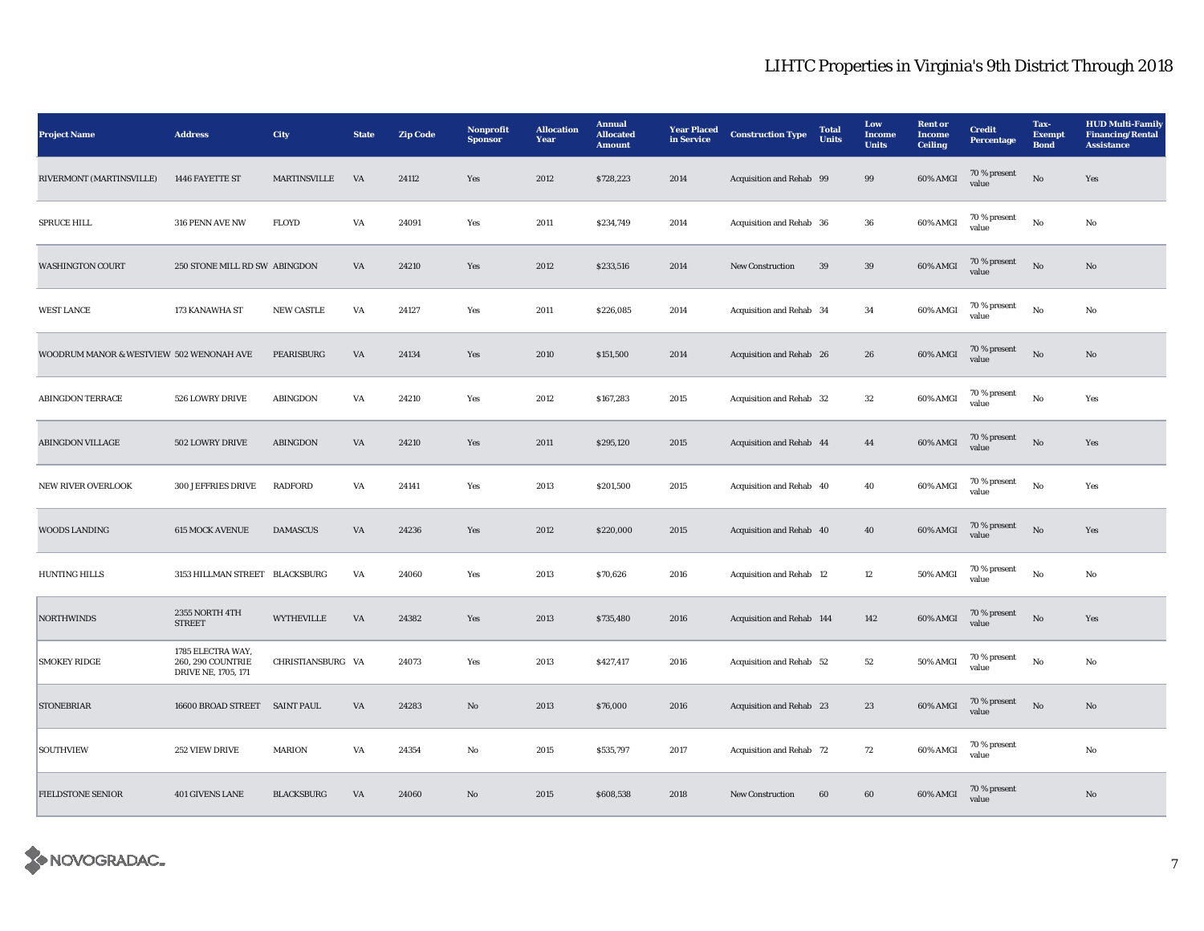| <b>Project Name</b>                      | <b>Address</b>                                                | <b>City</b>         | <b>State</b>           | <b>Zip Code</b> | Nonprofit<br><b>Sponsor</b> | <b>Allocation</b><br>Year | <b>Annual</b><br><b>Allocated</b><br><b>Amount</b> | <b>Year Placed</b><br>in Service | <b>Construction Type</b>  | <b>Total</b><br><b>Units</b> | Low<br><b>Income</b><br><b>Units</b> | <b>Rent</b> or<br>Income<br><b>Ceiling</b> | <b>Credit</b><br>Percentage | Tax-<br><b>Exempt</b><br><b>Bond</b> | <b>HUD Multi-Family</b><br><b>Financing/Rental</b><br><b>Assistance</b> |
|------------------------------------------|---------------------------------------------------------------|---------------------|------------------------|-----------------|-----------------------------|---------------------------|----------------------------------------------------|----------------------------------|---------------------------|------------------------------|--------------------------------------|--------------------------------------------|-----------------------------|--------------------------------------|-------------------------------------------------------------------------|
| RIVERMONT (MARTINSVILLE)                 | 1446 FAYETTE ST                                               | <b>MARTINSVILLE</b> | VA                     | 24112           | Yes                         | 2012                      | \$728,223                                          | 2014                             | Acquisition and Rehab 99  |                              | 99                                   | 60% AMGI                                   | 70 % present<br>value       | $\rm No$                             | Yes                                                                     |
| <b>SPRUCE HILL</b>                       | 316 PENN AVE NW                                               | <b>FLOYD</b>        | VA                     | 24091           | Yes                         | 2011                      | \$234,749                                          | 2014                             | Acquisition and Rehab 36  |                              | 36                                   | 60% AMGI                                   | 70 % present<br>value       | No                                   | No                                                                      |
| <b>WASHINGTON COURT</b>                  | 250 STONE MILL RD SW ABINGDON                                 |                     | VA                     | 24210           | Yes                         | 2012                      | \$233,516                                          | 2014                             | New Construction          | 39                           | 39                                   | 60% AMGI                                   | 70 % present<br>value       | No                                   | No                                                                      |
| <b>WEST LANCE</b>                        | 173 KANAWHA ST                                                | <b>NEW CASTLE</b>   | VA                     | 24127           | Yes                         | 2011                      | \$226,085                                          | 2014                             | Acquisition and Rehab 34  |                              | 34                                   | 60% AMGI                                   | 70 % present<br>value       | $\mathbf{No}$                        | No                                                                      |
| WOODRUM MANOR & WESTVIEW 502 WENONAH AVE |                                                               | PEARISBURG          | VA                     | 24134           | Yes                         | 2010                      | \$151,500                                          | 2014                             | Acquisition and Rehab 26  |                              | 26                                   | 60% AMGI                                   | 70 % present<br>value       | $\rm No$                             | No                                                                      |
| <b>ABINGDON TERRACE</b>                  | 526 LOWRY DRIVE                                               | ABINGDON            | $\mathbf{V}\mathbf{A}$ | 24210           | Yes                         | 2012                      | \$167,283                                          | 2015                             | Acquisition and Rehab 32  |                              | $32\,$                               | 60% AMGI                                   | $70\,\%$ present<br>value   | $_{\rm No}$                          | Yes                                                                     |
| <b>ABINGDON VILLAGE</b>                  | 502 LOWRY DRIVE                                               | <b>ABINGDON</b>     | VA                     | 24210           | Yes                         | 2011                      | \$295,120                                          | 2015                             | Acquisition and Rehab 44  |                              | 44                                   | 60% AMGI                                   | 70 % present<br>value       | $\rm No$                             | Yes                                                                     |
| NEW RIVER OVERLOOK                       | 300 JEFFRIES DRIVE                                            | <b>RADFORD</b>      | VA                     | 24141           | Yes                         | 2013                      | \$201,500                                          | 2015                             | Acquisition and Rehab 40  |                              | 40                                   | 60% AMGI                                   | 70 % present<br>value       | $\rm No$                             | Yes                                                                     |
| <b>WOODS LANDING</b>                     | <b>615 MOCK AVENUE</b>                                        | <b>DAMASCUS</b>     | VA                     | 24236           | Yes                         | 2012                      | \$220,000                                          | 2015                             | Acquisition and Rehab 40  |                              | 40                                   | 60% AMGI                                   | 70 % present<br>value       | No                                   | Yes                                                                     |
| <b>HUNTING HILLS</b>                     | 3153 HILLMAN STREET BLACKSBURG                                |                     | VA                     | 24060           | Yes                         | 2013                      | \$70,626                                           | 2016                             | Acquisition and Rehab 12  |                              | 12                                   | <b>50% AMGI</b>                            | 70 % present<br>value       | No                                   | No                                                                      |
| <b>NORTHWINDS</b>                        | 2355 NORTH 4TH<br><b>STREET</b>                               | <b>WYTHEVILLE</b>   | VA                     | 24382           | Yes                         | 2013                      | \$735,480                                          | 2016                             | Acquisition and Rehab 144 |                              | 142                                  | 60% AMGI                                   | 70 % present<br>value       | No                                   | Yes                                                                     |
| <b>SMOKEY RIDGE</b>                      | 1785 ELECTRA WAY,<br>260, 290 COUNTRIE<br>DRIVE NE, 1705, 171 | CHRISTIANSBURG VA   |                        | 24073           | Yes                         | 2013                      | \$427,417                                          | 2016                             | Acquisition and Rehab 52  |                              | 52                                   | 50% AMGI                                   | 70 % present<br>value       | $\mathbf{No}$                        | No                                                                      |
| <b>STONEBRIAR</b>                        | 16600 BROAD STREET SAINT PAUL                                 |                     | $\mathbf{V}\mathbf{A}$ | 24283           | $\mathbf{N}\mathbf{o}$      | 2013                      | \$76,000                                           | 2016                             | Acquisition and Rehab 23  |                              | ${\bf 23}$                           | 60% AMGI                                   | 70 % present<br>value       | $_{\rm No}$                          | $\mathbf{No}$                                                           |
| SOUTHVIEW                                | 252 VIEW DRIVE                                                | <b>MARION</b>       | VA                     | 24354           | No                          | 2015                      | \$535,797                                          | 2017                             | Acquisition and Rehab 72  |                              | 72                                   | 60% AMGI                                   | 70 % present<br>value       |                                      | No                                                                      |
| <b>FIELDSTONE SENIOR</b>                 | 401 GIVENS LANE                                               | <b>BLACKSBURG</b>   | VA                     | 24060           | No                          | 2015                      | \$608,538                                          | 2018                             | <b>New Construction</b>   | 60                           | 60                                   | 60% AMGI                                   | 70 % present<br>value       |                                      | No                                                                      |